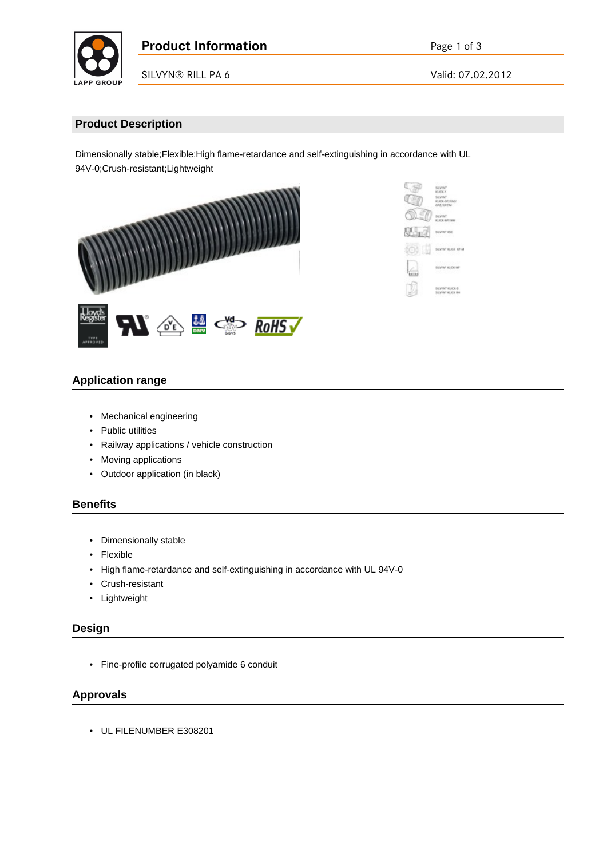

SILVYN® RILL PA 6 Valid: 07.02.2012

# **Product Description**

Dimensionally stable;Flexible;High flame-retardance and self-extinguishing in accordance with UL 94V-0;Crush-resistant;Lightweight





# **Application range**

- Mechanical engineering
- Public utilities
- Railway applications / vehicle construction
- Moving applications
- Outdoor application (in black)

#### **Benefits**

- Dimensionally stable
- Flexible
- High flame-retardance and self-extinguishing in accordance with UL 94V-0
- Crush-resistant
- Lightweight

## **Design**

• Fine-profile corrugated polyamide 6 conduit

# **Approvals**

• UL FILENUMBER E308201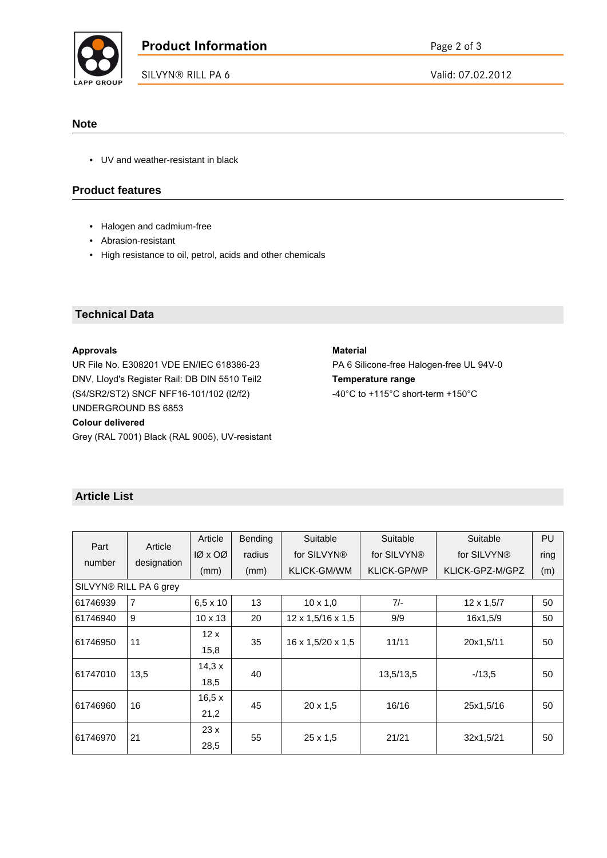

SILVYN® RILL PA 6 Valid: 07.02.2012

### **Note**

• UV and weather-resistant in black

## **Product features**

- Halogen and cadmium-free
- Abrasion-resistant
- High resistance to oil, petrol, acids and other chemicals

## **Technical Data**

#### **Approvals**

UR File No. E308201 VDE EN/IEC 618386-23 DNV, Lloyd's Register Rail: DB DIN 5510 Teil2 (S4/SR2/ST2) SNCF NFF16-101/102 (l2/f2) UNDERGROUND BS 6853

#### **Colour delivered**

Grey (RAL 7001) Black (RAL 9005), UV-resistant

#### **Material**

PA 6 Silicone-free Halogen-free UL 94V-0 **Temperature range** -40°C to +115°C short-term +150°C

## **Article List**

| Part<br>number         | Article<br>designation | Article         | Bending | Suitable                      | Suitable           | Suitable        | PU   |  |  |  |  |  |
|------------------------|------------------------|-----------------|---------|-------------------------------|--------------------|-----------------|------|--|--|--|--|--|
|                        |                        | $10 \times 00$  | radius  | for SILVYN <sup>®</sup>       | for SILVYN®        | for SILVYN®     | ring |  |  |  |  |  |
|                        |                        | (mm)            | (mm)    | KLICK-GM/WM                   | <b>KLICK-GP/WP</b> | KLICK-GPZ-M/GPZ | (m)  |  |  |  |  |  |
| SILVYN® RILL PA 6 grey |                        |                 |         |                               |                    |                 |      |  |  |  |  |  |
| 61746939               | $\overline{7}$         | $6,5 \times 10$ | 13      | $10 \times 1,0$               | $7/-$              | 12 x 1,5/7      | 50   |  |  |  |  |  |
| 61746940               | 9                      | $10 \times 13$  | 20      | 12 x 1,5/16 x 1,5             | 9/9                | 16x1.5/9        | 50   |  |  |  |  |  |
| 61746950               | 11                     | 12x             | 35      | $16 \times 1,5/20 \times 1,5$ | 11/11              | 20x1,5/11       | 50   |  |  |  |  |  |
|                        |                        | 15,8            |         |                               |                    |                 |      |  |  |  |  |  |
| 61747010               | 13,5                   | 14,3x           | 40      |                               | 13,5/13,5          | $-13.5$         | 50   |  |  |  |  |  |
|                        |                        | 18,5            |         |                               |                    |                 |      |  |  |  |  |  |
| 61746960               | 16                     | 16,5x           | 45      | $20 \times 1.5$               | 16/16              | 25x1,5/16       | 50   |  |  |  |  |  |
|                        |                        | 21,2            |         |                               |                    |                 |      |  |  |  |  |  |
| 61746970               | 21                     | 23x             | 55      | $25 \times 1,5$               | 21/21              | 32x1,5/21       | 50   |  |  |  |  |  |
|                        |                        | 28,5            |         |                               |                    |                 |      |  |  |  |  |  |